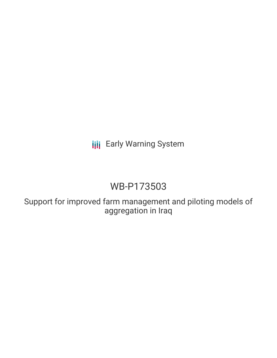# **III** Early Warning System

# WB-P173503

Support for improved farm management and piloting models of aggregation in Iraq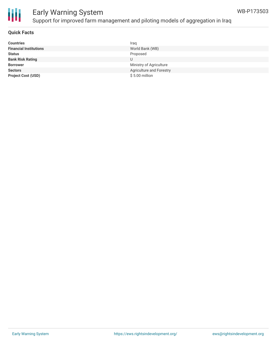

### Early Warning System Support for improved farm management and piloting models of aggregation in Iraq

| <b>Countries</b>              | Iraq                     |
|-------------------------------|--------------------------|
| <b>Financial Institutions</b> | World Bank (WB)          |
| <b>Status</b>                 | Proposed                 |
| <b>Bank Risk Rating</b>       |                          |
| <b>Borrower</b>               | Ministry of Agriculture  |
| <b>Sectors</b>                | Agriculture and Forestry |
| <b>Project Cost (USD)</b>     | $$5.00$ million          |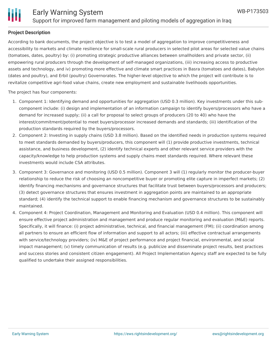

#### **Project Description**

According to bank documents, the project objective is to test a model of aggregation to improve competitiveness and accessibility to markets and climate resilience for small-scale rural producers in selected pilot areas for selected value chains (tomatoes, dates, poultry) by: (i) promoting strategic productive alliances between smallholders and private sector, (ii) empowering rural producers through the development of self-managed organizations, (iii) increasing access to productive assets and technology, and iv) promoting more effective and climate smart practices in Basra (tomatoes and dates), Babylon (dates and poultry), and Erbil (poultry) Governorates. The higher-level objective to which the project will contribute is to revitalize competitive agri-food value chains, create new employment and sustainable livelihoods opportunities.

The project has four components:

- 1. Component 1: Identifying demand and opportunities for aggregation (USD 0.3 million). Key investments under this subcomponent include: (i) design and implementation of an information campaign to identify buyers/processors who have a demand for increased supply; (ii) a call for proposal to select groups of producers (20 to 40) who have the interest/commitment/potential to meet buyers/processor increased demands and standards; (iii) identification of the production standards required by the buyers/processors.
- 2. Component 2: Investing in supply chains (USD 3.8 million). Based on the identified needs in production systems required to meet standards demanded by buyers/producers, this component will (1) provide productive investments, technical assistance, and business development, (2) identify technical experts and other relevant service providers with the capacity/knowledge to help production systems and supply chains meet standards required. Where relevant these investments would include CSA attributes.
- 3. Component 3: Governance and monitoring (USD 0.5 million). Component 3 will (1) regularly monitor the producer-buyer relationship to reduce the risk of choosing an noncompetitive buyer or promoting elite capture in imperfect markets; (2) identify financing mechanisms and governance structures that facilitate trust between buyers/processors and producers; (3) detect governance structures that ensures investment in aggregation points are maintained to an appropriate standard; (4) identify the technical support to enable financing mechanism and governance structures to be sustainably maintained.
- 4. Component 4: Project Coordination, Management and Monitoring and Evaluation (USD 0.4 million). This component will ensure effective project administration and management and produce regular monitoring and evaluation (M&E) reports. Specifically, it will finance: (i) project administrative, technical, and financial management (FM); (ii) coordination among all partners to ensure an efficient flow of information and support to all actors; (iii) effective contractual arrangements with service/technology providers; (iv) M&E of project performance and project financial, environmental, and social impact management; (v) timely communication of results (e.g. publicize and disseminate project results, best practices and success stories and consistent citizen engagement). All Project Implementation Agency staff are expected to be fully qualified to undertake their assigned responsibilities.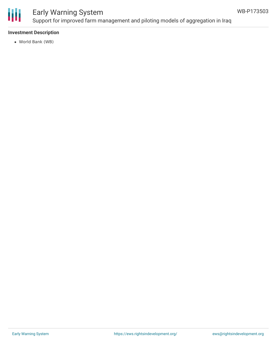

## Early Warning System

Support for improved farm management and piloting models of aggregation in Iraq

#### **Investment Description**

World Bank (WB)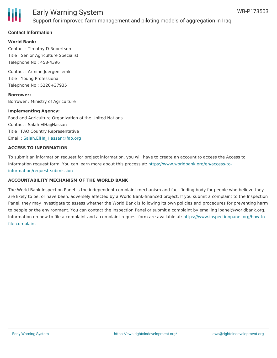

#### **Contact Information**

#### **World Bank:**

Contact : Timothy D Robertson Title : Senior Agriculture Specialist Telephone No : 458-4396

Contact : Armine Juergenliemk Title : Young Professional Telephone No : 5220+37935

**Borrower:** Borrower : Ministry of Agriculture

#### **Implementing Agency:**

Food and Agriculture Organization of the United Nations Contact : Salah ElHajjHassan Title : FAO Country Representative Email : [Salah.ElHajjHassan@fao.org](mailto:Salah.ElHajjHassan@fao.org)

#### **ACCESS TO INFORMATION**

To submit an information request for project information, you will have to create an account to access the Access to Information request form. You can learn more about this process at: [https://www.worldbank.org/en/access-to](https://www.worldbank.org/en/access-to-information/request-submission)information/request-submission

#### **ACCOUNTABILITY MECHANISM OF THE WORLD BANK**

The World Bank Inspection Panel is the independent complaint mechanism and fact-finding body for people who believe they are likely to be, or have been, adversely affected by a World Bank-financed project. If you submit a complaint to the Inspection Panel, they may investigate to assess whether the World Bank is following its own policies and procedures for preventing harm to people or the environment. You can contact the Inspection Panel or submit a complaint by emailing ipanel@worldbank.org. Information on how to file a complaint and a complaint request form are available at: [https://www.inspectionpanel.org/how-to](https://www.inspectionpanel.org/how-to-file-complaint)file-complaint